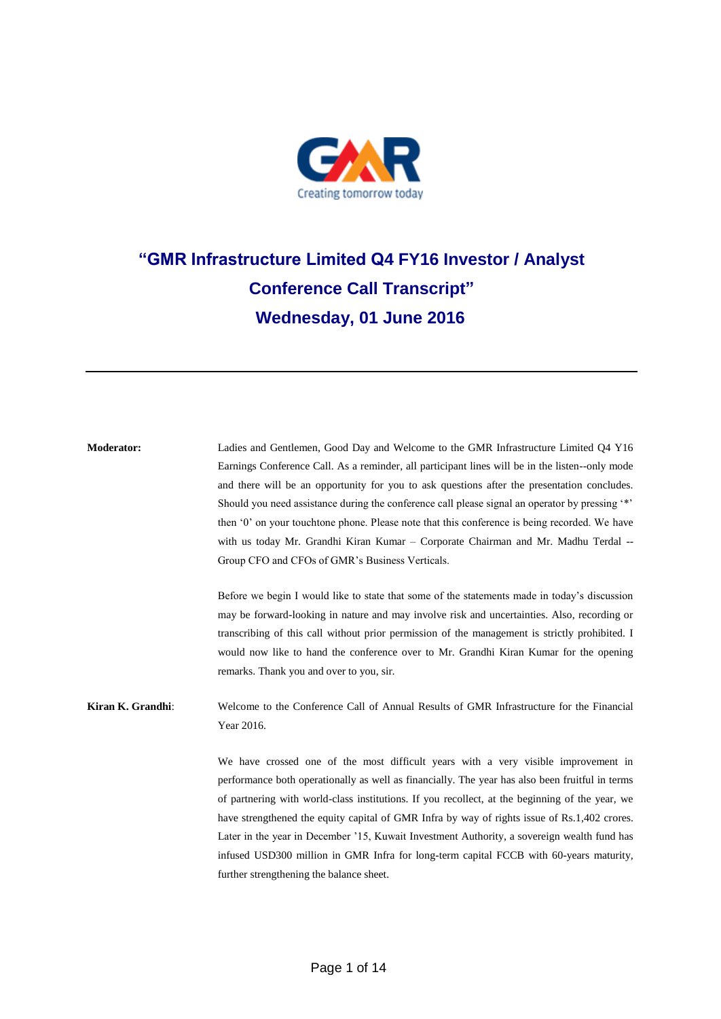

## **"GMR Infrastructure Limited Q4 FY16 Investor / Analyst Conference Call Transcript" Wednesday, 01 June 2016**

**Moderator:** Ladies and Gentlemen, Good Day and Welcome to the GMR Infrastructure Limited Q4 Y16 Earnings Conference Call. As a reminder, all participant lines will be in the listen--only mode and there will be an opportunity for you to ask questions after the presentation concludes. Should you need assistance during the conference call please signal an operator by pressing '\*' then '0' on your touchtone phone. Please note that this conference is being recorded. We have with us today Mr. Grandhi Kiran Kumar – Corporate Chairman and Mr. Madhu Terdal -- Group CFO and CFOs of GMR's Business Verticals. Before we begin I would like to state that some of the statements made in today's discussion may be forward-looking in nature and may involve risk and uncertainties. Also, recording or transcribing of this call without prior permission of the management is strictly prohibited. I would now like to hand the conference over to Mr. Grandhi Kiran Kumar for the opening remarks. Thank you and over to you, sir. **Kiran K. Grandhi**: Welcome to the Conference Call of Annual Results of GMR Infrastructure for the Financial Year 2016. We have crossed one of the most difficult years with a very visible improvement in performance both operationally as well as financially. The year has also been fruitful in terms of partnering with world-class institutions. If you recollect, at the beginning of the year, we have strengthened the equity capital of GMR Infra by way of rights issue of Rs.1,402 crores. Later in the year in December '15, Kuwait Investment Authority, a sovereign wealth fund has infused USD300 million in GMR Infra for long-term capital FCCB with 60-years maturity, further strengthening the balance sheet.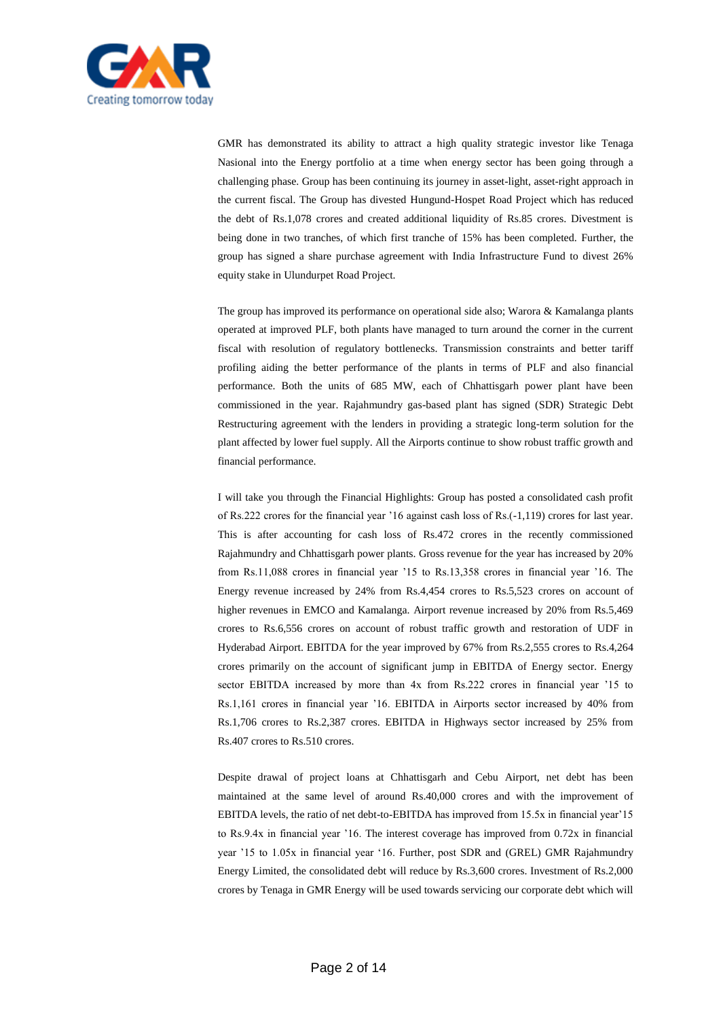

GMR has demonstrated its ability to attract a high quality strategic investor like Tenaga Nasional into the Energy portfolio at a time when energy sector has been going through a challenging phase. Group has been continuing its journey in asset-light, asset-right approach in the current fiscal. The Group has divested Hungund-Hospet Road Project which has reduced the debt of Rs.1,078 crores and created additional liquidity of Rs.85 crores. Divestment is being done in two tranches, of which first tranche of 15% has been completed. Further, the group has signed a share purchase agreement with India Infrastructure Fund to divest 26% equity stake in Ulundurpet Road Project.

The group has improved its performance on operational side also; Warora & Kamalanga plants operated at improved PLF, both plants have managed to turn around the corner in the current fiscal with resolution of regulatory bottlenecks. Transmission constraints and better tariff profiling aiding the better performance of the plants in terms of PLF and also financial performance. Both the units of 685 MW, each of Chhattisgarh power plant have been commissioned in the year. Rajahmundry gas-based plant has signed (SDR) Strategic Debt Restructuring agreement with the lenders in providing a strategic long-term solution for the plant affected by lower fuel supply. All the Airports continue to show robust traffic growth and financial performance.

I will take you through the Financial Highlights: Group has posted a consolidated cash profit of Rs.222 crores for the financial year '16 against cash loss of Rs.(-1,119) crores for last year. This is after accounting for cash loss of Rs.472 crores in the recently commissioned Rajahmundry and Chhattisgarh power plants. Gross revenue for the year has increased by 20% from Rs.11,088 crores in financial year '15 to Rs.13,358 crores in financial year '16. The Energy revenue increased by 24% from Rs.4,454 crores to Rs.5,523 crores on account of higher revenues in EMCO and Kamalanga. Airport revenue increased by 20% from Rs.5,469 crores to Rs.6,556 crores on account of robust traffic growth and restoration of UDF in Hyderabad Airport. EBITDA for the year improved by 67% from Rs.2,555 crores to Rs.4,264 crores primarily on the account of significant jump in EBITDA of Energy sector. Energy sector EBITDA increased by more than 4x from Rs.222 crores in financial year '15 to Rs.1,161 crores in financial year '16. EBITDA in Airports sector increased by 40% from Rs.1,706 crores to Rs.2,387 crores. EBITDA in Highways sector increased by 25% from Rs.407 crores to Rs.510 crores.

Despite drawal of project loans at Chhattisgarh and Cebu Airport, net debt has been maintained at the same level of around Rs.40,000 crores and with the improvement of EBITDA levels, the ratio of net debt-to-EBITDA has improved from 15.5x in financial year'15 to Rs.9.4x in financial year '16. The interest coverage has improved from 0.72x in financial year '15 to 1.05x in financial year '16. Further, post SDR and (GREL) GMR Rajahmundry Energy Limited, the consolidated debt will reduce by Rs.3,600 crores. Investment of Rs.2,000 crores by Tenaga in GMR Energy will be used towards servicing our corporate debt which will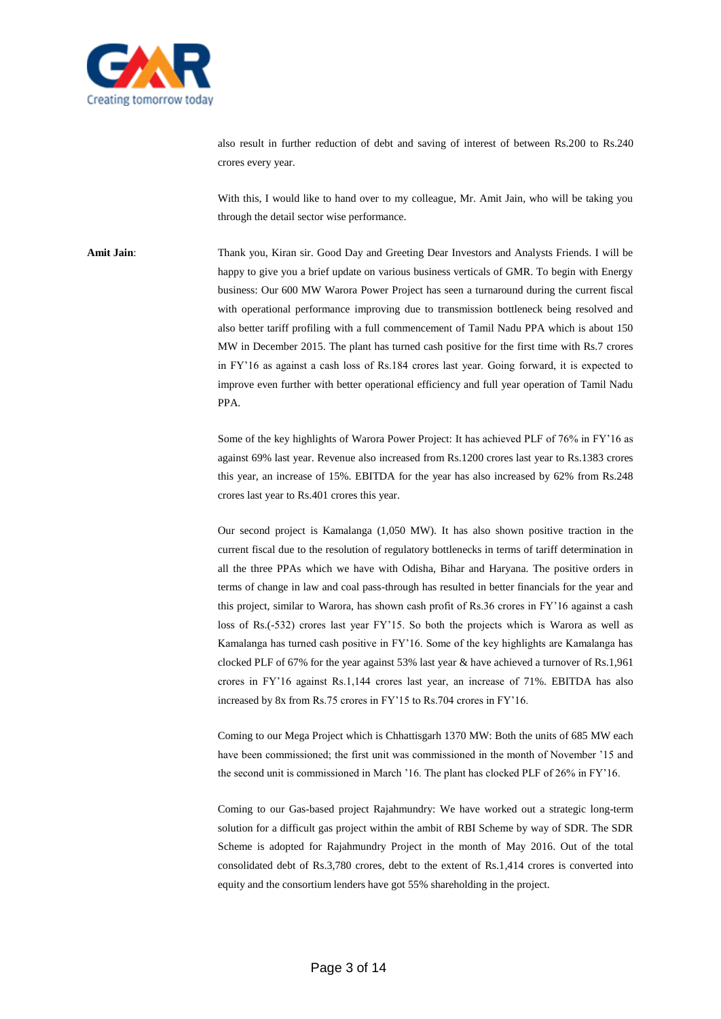

also result in further reduction of debt and saving of interest of between Rs.200 to Rs.240 crores every year.

With this, I would like to hand over to my colleague, Mr. Amit Jain, who will be taking you through the detail sector wise performance.

**Amit Jain**: Thank you, Kiran sir. Good Day and Greeting Dear Investors and Analysts Friends. I will be happy to give you a brief update on various business verticals of GMR. To begin with Energy business: Our 600 MW Warora Power Project has seen a turnaround during the current fiscal with operational performance improving due to transmission bottleneck being resolved and also better tariff profiling with a full commencement of Tamil Nadu PPA which is about 150 MW in December 2015. The plant has turned cash positive for the first time with Rs.7 crores in FY'16 as against a cash loss of Rs.184 crores last year. Going forward, it is expected to improve even further with better operational efficiency and full year operation of Tamil Nadu PPA.

> Some of the key highlights of Warora Power Project: It has achieved PLF of 76% in FY'16 as against 69% last year. Revenue also increased from Rs.1200 crores last year to Rs.1383 crores this year, an increase of 15%. EBITDA for the year has also increased by 62% from Rs.248 crores last year to Rs.401 crores this year.

> Our second project is Kamalanga (1,050 MW). It has also shown positive traction in the current fiscal due to the resolution of regulatory bottlenecks in terms of tariff determination in all the three PPAs which we have with Odisha, Bihar and Haryana. The positive orders in terms of change in law and coal pass-through has resulted in better financials for the year and this project, similar to Warora, has shown cash profit of Rs.36 crores in FY'16 against a cash loss of Rs.(-532) crores last year FY'15. So both the projects which is Warora as well as Kamalanga has turned cash positive in FY'16. Some of the key highlights are Kamalanga has clocked PLF of 67% for the year against 53% last year & have achieved a turnover of Rs.1,961 crores in FY'16 against Rs.1,144 crores last year, an increase of 71%. EBITDA has also increased by 8x from Rs.75 crores in FY'15 to Rs.704 crores in FY'16.

> Coming to our Mega Project which is Chhattisgarh 1370 MW: Both the units of 685 MW each have been commissioned; the first unit was commissioned in the month of November '15 and the second unit is commissioned in March '16. The plant has clocked PLF of 26% in FY'16.

> Coming to our Gas-based project Rajahmundry: We have worked out a strategic long-term solution for a difficult gas project within the ambit of RBI Scheme by way of SDR. The SDR Scheme is adopted for Rajahmundry Project in the month of May 2016. Out of the total consolidated debt of Rs.3,780 crores, debt to the extent of Rs.1,414 crores is converted into equity and the consortium lenders have got 55% shareholding in the project.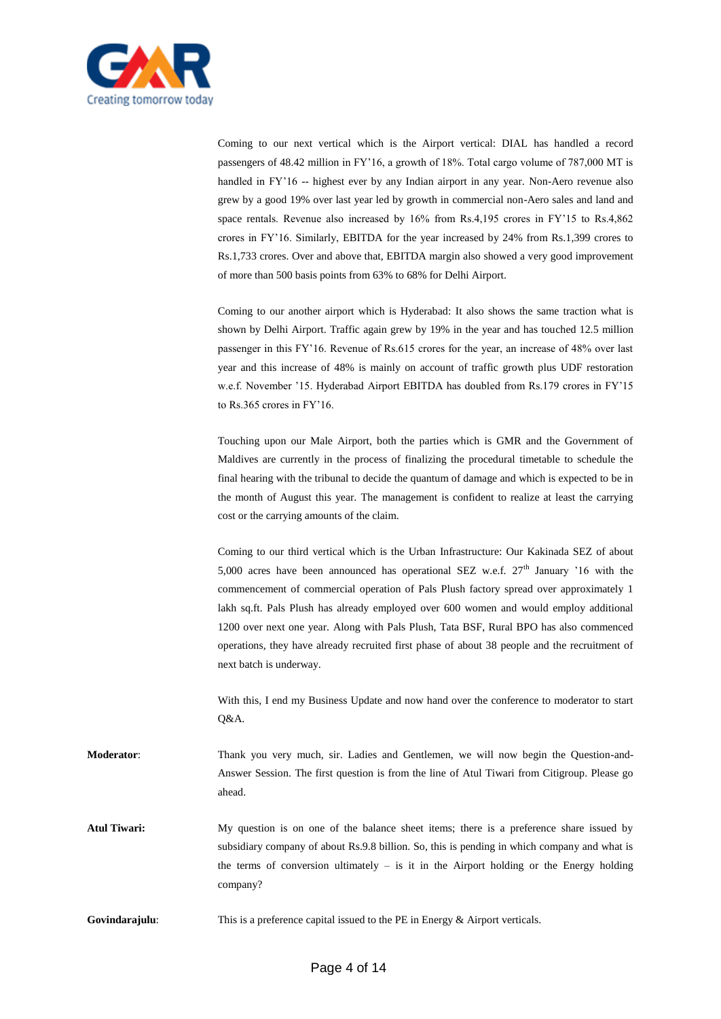

Coming to our next vertical which is the Airport vertical: DIAL has handled a record passengers of 48.42 million in FY'16, a growth of 18%. Total cargo volume of 787,000 MT is handled in FY'16 -- highest ever by any Indian airport in any year. Non-Aero revenue also grew by a good 19% over last year led by growth in commercial non-Aero sales and land and space rentals. Revenue also increased by 16% from Rs.4,195 crores in FY'15 to Rs.4,862 crores in FY'16. Similarly, EBITDA for the year increased by 24% from Rs.1,399 crores to Rs.1,733 crores. Over and above that, EBITDA margin also showed a very good improvement of more than 500 basis points from 63% to 68% for Delhi Airport.

Coming to our another airport which is Hyderabad: It also shows the same traction what is shown by Delhi Airport. Traffic again grew by 19% in the year and has touched 12.5 million passenger in this FY'16. Revenue of Rs.615 crores for the year, an increase of 48% over last year and this increase of 48% is mainly on account of traffic growth plus UDF restoration w.e.f. November '15. Hyderabad Airport EBITDA has doubled from Rs.179 crores in FY'15 to Rs.365 crores in FY'16.

Touching upon our Male Airport, both the parties which is GMR and the Government of Maldives are currently in the process of finalizing the procedural timetable to schedule the final hearing with the tribunal to decide the quantum of damage and which is expected to be in the month of August this year. The management is confident to realize at least the carrying cost or the carrying amounts of the claim.

Coming to our third vertical which is the Urban Infrastructure: Our Kakinada SEZ of about 5,000 acres have been announced has operational SEZ w.e.f.  $27<sup>th</sup>$  January '16 with the commencement of commercial operation of Pals Plush factory spread over approximately 1 lakh sq.ft. Pals Plush has already employed over 600 women and would employ additional 1200 over next one year. Along with Pals Plush, Tata BSF, Rural BPO has also commenced operations, they have already recruited first phase of about 38 people and the recruitment of next batch is underway.

With this, I end my Business Update and now hand over the conference to moderator to start Q&A.

**Moderator**: Thank you very much, sir. Ladies and Gentlemen, we will now begin the Question-and-Answer Session. The first question is from the line of Atul Tiwari from Citigroup. Please go ahead.

**Atul Tiwari:** My question is on one of the balance sheet items; there is a preference share issued by subsidiary company of about Rs.9.8 billion. So, this is pending in which company and what is the terms of conversion ultimately  $-$  is it in the Airport holding or the Energy holding company?

**Govindarajulu:** This is a preference capital issued to the PE in Energy & Airport verticals.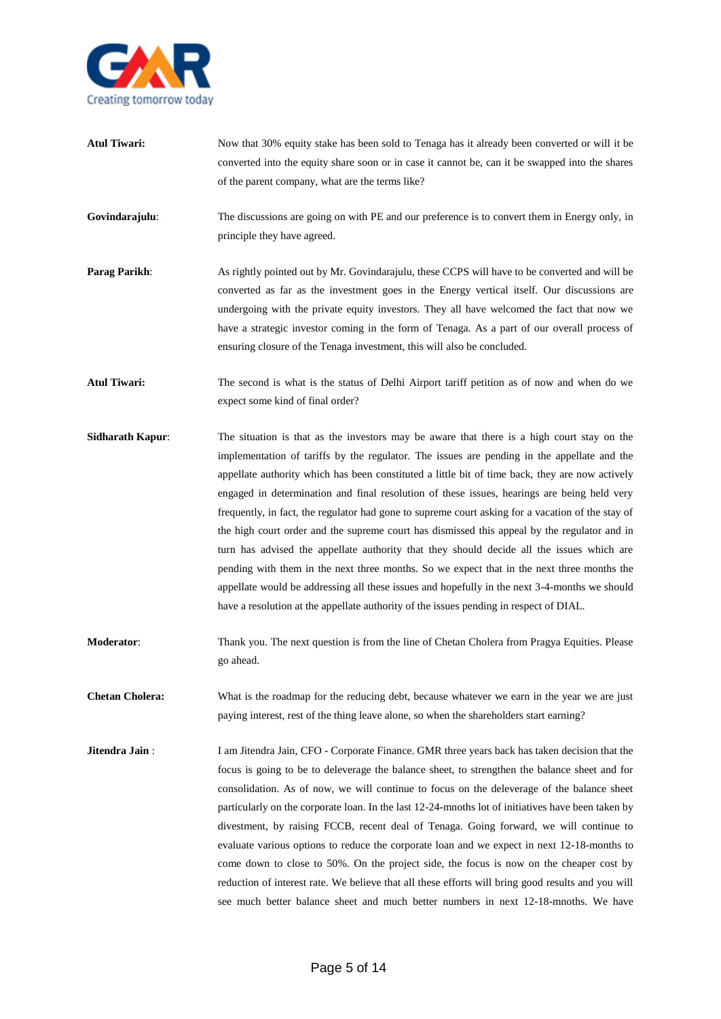

- **Atul Tiwari:** Now that 30% equity stake has been sold to Tenaga has it already been converted or will it be converted into the equity share soon or in case it cannot be, can it be swapped into the shares of the parent company, what are the terms like?
- **Govindarajulu:** The discussions are going on with PE and our preference is to convert them in Energy only, in principle they have agreed.
- **Parag Parikh:** As rightly pointed out by Mr. Govindarajulu, these CCPS will have to be converted and will be converted as far as the investment goes in the Energy vertical itself. Our discussions are undergoing with the private equity investors. They all have welcomed the fact that now we have a strategic investor coming in the form of Tenaga. As a part of our overall process of ensuring closure of the Tenaga investment, this will also be concluded.
- **Atul Tiwari:** The second is what is the status of Delhi Airport tariff petition as of now and when do we expect some kind of final order?
- **Sidharath Kapur:** The situation is that as the investors may be aware that there is a high court stay on the implementation of tariffs by the regulator. The issues are pending in the appellate and the appellate authority which has been constituted a little bit of time back, they are now actively engaged in determination and final resolution of these issues, hearings are being held very frequently, in fact, the regulator had gone to supreme court asking for a vacation of the stay of the high court order and the supreme court has dismissed this appeal by the regulator and in turn has advised the appellate authority that they should decide all the issues which are pending with them in the next three months. So we expect that in the next three months the appellate would be addressing all these issues and hopefully in the next 3-4-months we should have a resolution at the appellate authority of the issues pending in respect of DIAL.
- **Moderator:** Thank you. The next question is from the line of Chetan Cholera from Pragya Equities. Please go ahead.
- **Chetan Cholera:** What is the roadmap for the reducing debt, because whatever we earn in the year we are just paying interest, rest of the thing leave alone, so when the shareholders start earning?
- **Jitendra Jain** : I am Jitendra Jain, CFO Corporate Finance. GMR three years back has taken decision that the focus is going to be to deleverage the balance sheet, to strengthen the balance sheet and for consolidation. As of now, we will continue to focus on the deleverage of the balance sheet particularly on the corporate loan. In the last 12-24-mnoths lot of initiatives have been taken by divestment, by raising FCCB, recent deal of Tenaga. Going forward, we will continue to evaluate various options to reduce the corporate loan and we expect in next 12-18-months to come down to close to 50%. On the project side, the focus is now on the cheaper cost by reduction of interest rate. We believe that all these efforts will bring good results and you will see much better balance sheet and much better numbers in next 12-18-mnoths. We have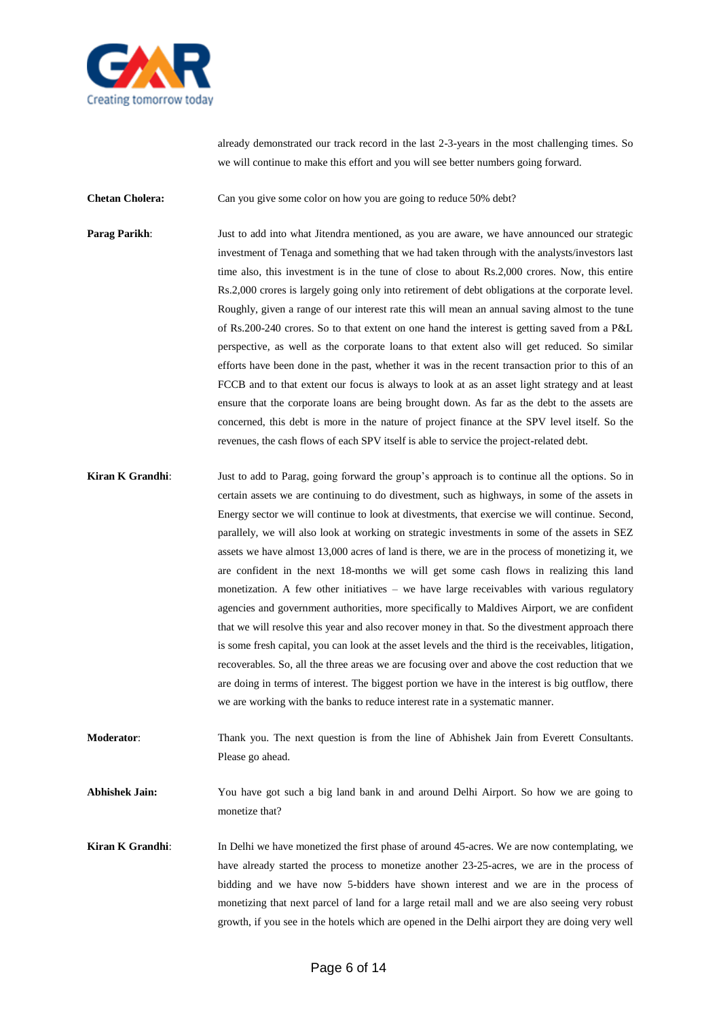

already demonstrated our track record in the last 2-3-years in the most challenging times. So we will continue to make this effort and you will see better numbers going forward.

**Chetan Cholera:** Can you give some color on how you are going to reduce 50% debt?

**Parag Parikh:** Just to add into what Jitendra mentioned, as you are aware, we have announced our strategic investment of Tenaga and something that we had taken through with the analysts/investors last time also, this investment is in the tune of close to about Rs.2,000 crores. Now, this entire Rs.2,000 crores is largely going only into retirement of debt obligations at the corporate level. Roughly, given a range of our interest rate this will mean an annual saving almost to the tune of Rs.200-240 crores. So to that extent on one hand the interest is getting saved from a P&L perspective, as well as the corporate loans to that extent also will get reduced. So similar efforts have been done in the past, whether it was in the recent transaction prior to this of an FCCB and to that extent our focus is always to look at as an asset light strategy and at least ensure that the corporate loans are being brought down. As far as the debt to the assets are concerned, this debt is more in the nature of project finance at the SPV level itself. So the revenues, the cash flows of each SPV itself is able to service the project-related debt.

- **Kiran K Grandhi:** Just to add to Parag, going forward the group's approach is to continue all the options. So in certain assets we are continuing to do divestment, such as highways, in some of the assets in Energy sector we will continue to look at divestments, that exercise we will continue. Second, parallely, we will also look at working on strategic investments in some of the assets in SEZ assets we have almost 13,000 acres of land is there, we are in the process of monetizing it, we are confident in the next 18-months we will get some cash flows in realizing this land monetization. A few other initiatives – we have large receivables with various regulatory agencies and government authorities, more specifically to Maldives Airport, we are confident that we will resolve this year and also recover money in that. So the divestment approach there is some fresh capital, you can look at the asset levels and the third is the receivables, litigation, recoverables. So, all the three areas we are focusing over and above the cost reduction that we are doing in terms of interest. The biggest portion we have in the interest is big outflow, there we are working with the banks to reduce interest rate in a systematic manner.
- **Moderator**: Thank you. The next question is from the line of Abhishek Jain from Everett Consultants. Please go ahead.

**Abhishek Jain:** You have got such a big land bank in and around Delhi Airport. So how we are going to monetize that?

**Kiran K Grandhi:** In Delhi we have monetized the first phase of around 45-acres. We are now contemplating, we have already started the process to monetize another 23-25-acres, we are in the process of bidding and we have now 5-bidders have shown interest and we are in the process of monetizing that next parcel of land for a large retail mall and we are also seeing very robust growth, if you see in the hotels which are opened in the Delhi airport they are doing very well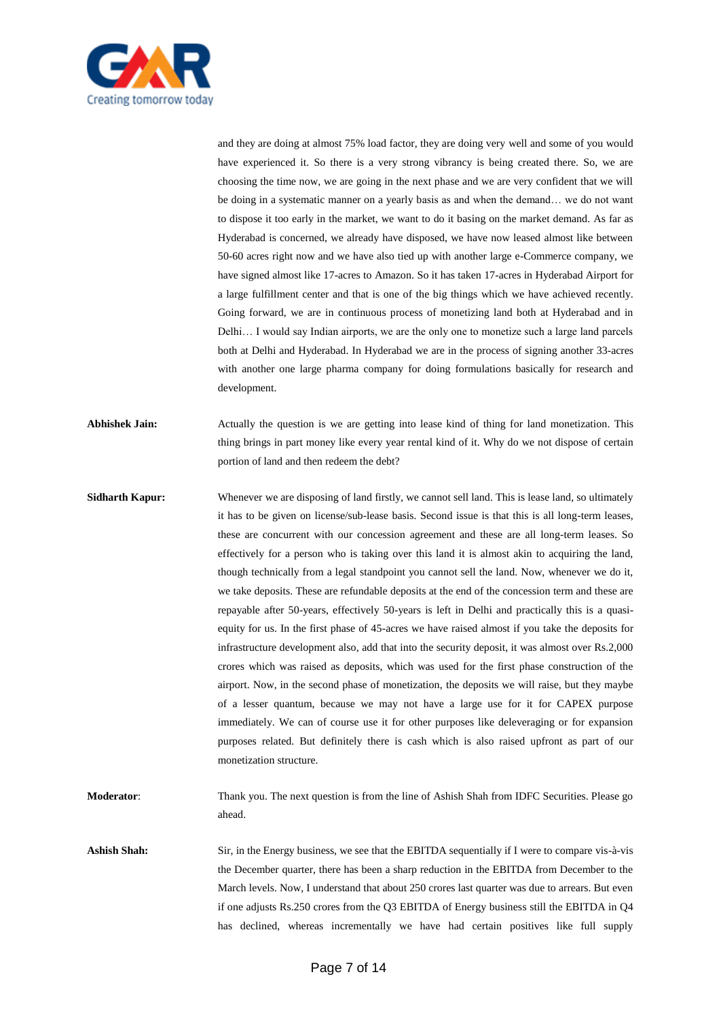

and they are doing at almost 75% load factor, they are doing very well and some of you would have experienced it. So there is a very strong vibrancy is being created there. So, we are choosing the time now, we are going in the next phase and we are very confident that we will be doing in a systematic manner on a yearly basis as and when the demand… we do not want to dispose it too early in the market, we want to do it basing on the market demand. As far as Hyderabad is concerned, we already have disposed, we have now leased almost like between 50-60 acres right now and we have also tied up with another large e-Commerce company, we have signed almost like 17-acres to Amazon. So it has taken 17-acres in Hyderabad Airport for a large fulfillment center and that is one of the big things which we have achieved recently. Going forward, we are in continuous process of monetizing land both at Hyderabad and in Delhi… I would say Indian airports, we are the only one to monetize such a large land parcels both at Delhi and Hyderabad. In Hyderabad we are in the process of signing another 33-acres with another one large pharma company for doing formulations basically for research and development.

**Abhishek Jain:** Actually the question is we are getting into lease kind of thing for land monetization. This thing brings in part money like every year rental kind of it. Why do we not dispose of certain portion of land and then redeem the debt?

**Sidharth Kapur:** Whenever we are disposing of land firstly, we cannot sell land. This is lease land, so ultimately it has to be given on license/sub-lease basis. Second issue is that this is all long-term leases, these are concurrent with our concession agreement and these are all long-term leases. So effectively for a person who is taking over this land it is almost akin to acquiring the land, though technically from a legal standpoint you cannot sell the land. Now, whenever we do it, we take deposits. These are refundable deposits at the end of the concession term and these are repayable after 50-years, effectively 50-years is left in Delhi and practically this is a quasiequity for us. In the first phase of 45-acres we have raised almost if you take the deposits for infrastructure development also, add that into the security deposit, it was almost over Rs.2,000 crores which was raised as deposits, which was used for the first phase construction of the airport. Now, in the second phase of monetization, the deposits we will raise, but they maybe of a lesser quantum, because we may not have a large use for it for CAPEX purpose immediately. We can of course use it for other purposes like deleveraging or for expansion purposes related. But definitely there is cash which is also raised upfront as part of our monetization structure.

**Moderator**: Thank you. The next question is from the line of Ashish Shah from IDFC Securities. Please go ahead.

**Ashish Shah:** Sir, in the Energy business, we see that the EBITDA sequentially if I were to compare vis-à-vis the December quarter, there has been a sharp reduction in the EBITDA from December to the March levels. Now, I understand that about 250 crores last quarter was due to arrears. But even if one adjusts Rs.250 crores from the Q3 EBITDA of Energy business still the EBITDA in Q4 has declined, whereas incrementally we have had certain positives like full supply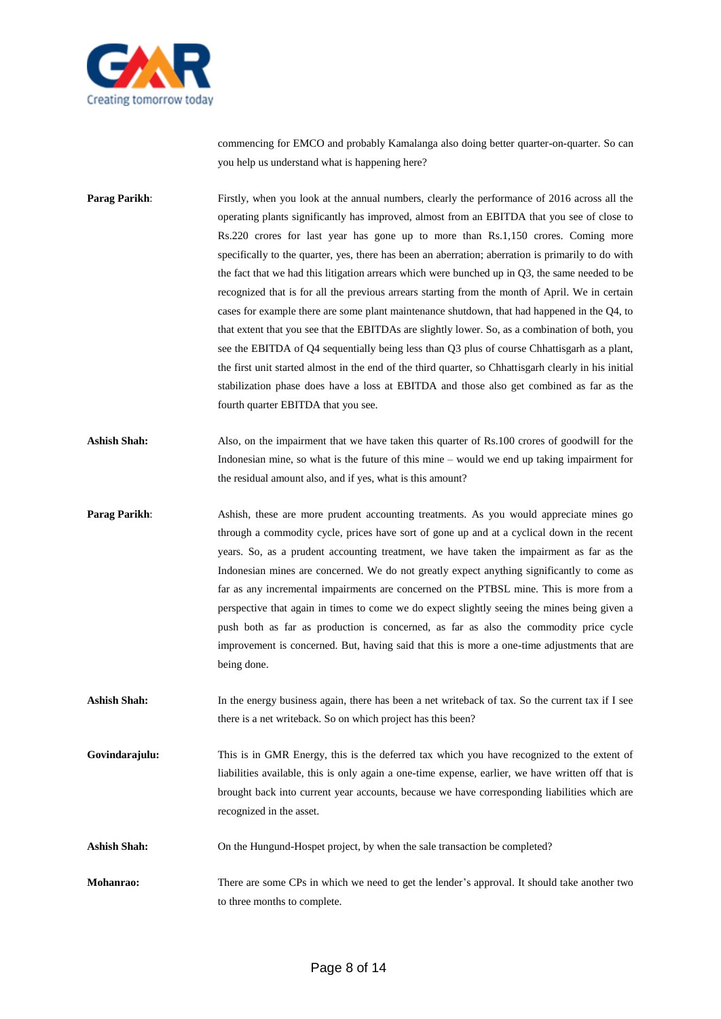

commencing for EMCO and probably Kamalanga also doing better quarter-on-quarter. So can you help us understand what is happening here?

**Parag Parikh:** Firstly, when you look at the annual numbers, clearly the performance of 2016 across all the operating plants significantly has improved, almost from an EBITDA that you see of close to Rs.220 crores for last year has gone up to more than Rs.1,150 crores. Coming more specifically to the quarter, yes, there has been an aberration; aberration is primarily to do with the fact that we had this litigation arrears which were bunched up in Q3, the same needed to be recognized that is for all the previous arrears starting from the month of April. We in certain cases for example there are some plant maintenance shutdown, that had happened in the Q4, to that extent that you see that the EBITDAs are slightly lower. So, as a combination of both, you see the EBITDA of Q4 sequentially being less than Q3 plus of course Chhattisgarh as a plant, the first unit started almost in the end of the third quarter, so Chhattisgarh clearly in his initial stabilization phase does have a loss at EBITDA and those also get combined as far as the fourth quarter EBITDA that you see.

Ashish Shah: Also, on the impairment that we have taken this quarter of Rs.100 crores of goodwill for the Indonesian mine, so what is the future of this mine – would we end up taking impairment for the residual amount also, and if yes, what is this amount?

**Parag Parikh:** Ashish, these are more prudent accounting treatments. As you would appreciate mines go through a commodity cycle, prices have sort of gone up and at a cyclical down in the recent years. So, as a prudent accounting treatment, we have taken the impairment as far as the Indonesian mines are concerned. We do not greatly expect anything significantly to come as far as any incremental impairments are concerned on the PTBSL mine. This is more from a perspective that again in times to come we do expect slightly seeing the mines being given a push both as far as production is concerned, as far as also the commodity price cycle improvement is concerned. But, having said that this is more a one-time adjustments that are being done.

Ashish Shah: In the energy business again, there has been a net writeback of tax. So the current tax if I see there is a net writeback. So on which project has this been?

**Govindarajulu:** This is in GMR Energy, this is the deferred tax which you have recognized to the extent of liabilities available, this is only again a one-time expense, earlier, we have written off that is brought back into current year accounts, because we have corresponding liabilities which are recognized in the asset.

Ashish Shah: On the Hungund-Hospet project, by when the sale transaction be completed?

**Mohanrao:** There are some CPs in which we need to get the lender's approval. It should take another two to three months to complete.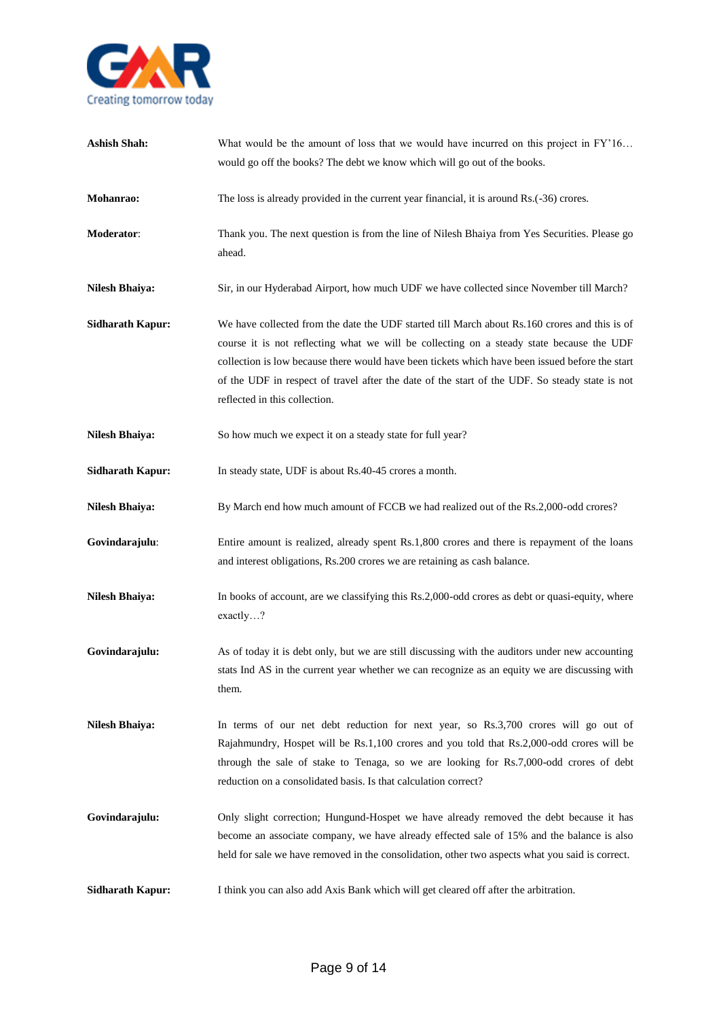

| <b>Ashish Shah:</b>     | What would be the amount of loss that we would have incurred on this project in FY'16<br>would go off the books? The debt we know which will go out of the books.                                                                                                                                                                                                                                                               |
|-------------------------|---------------------------------------------------------------------------------------------------------------------------------------------------------------------------------------------------------------------------------------------------------------------------------------------------------------------------------------------------------------------------------------------------------------------------------|
| Mohanrao:               | The loss is already provided in the current year financial, it is around Rs.(-36) crores.                                                                                                                                                                                                                                                                                                                                       |
| Moderator:              | Thank you. The next question is from the line of Nilesh Bhaiya from Yes Securities. Please go<br>ahead.                                                                                                                                                                                                                                                                                                                         |
| <b>Nilesh Bhaiya:</b>   | Sir, in our Hyderabad Airport, how much UDF we have collected since November till March?                                                                                                                                                                                                                                                                                                                                        |
| <b>Sidharath Kapur:</b> | We have collected from the date the UDF started till March about Rs.160 crores and this is of<br>course it is not reflecting what we will be collecting on a steady state because the UDF<br>collection is low because there would have been tickets which have been issued before the start<br>of the UDF in respect of travel after the date of the start of the UDF. So steady state is not<br>reflected in this collection. |
| <b>Nilesh Bhaiya:</b>   | So how much we expect it on a steady state for full year?                                                                                                                                                                                                                                                                                                                                                                       |
| <b>Sidharath Kapur:</b> | In steady state, UDF is about Rs.40-45 crores a month.                                                                                                                                                                                                                                                                                                                                                                          |
| <b>Nilesh Bhaiya:</b>   | By March end how much amount of FCCB we had realized out of the Rs.2,000-odd crores?                                                                                                                                                                                                                                                                                                                                            |
| Govindarajulu:          | Entire amount is realized, already spent Rs.1,800 crores and there is repayment of the loans<br>and interest obligations, Rs.200 crores we are retaining as cash balance.                                                                                                                                                                                                                                                       |
| <b>Nilesh Bhaiya:</b>   | In books of account, are we classifying this Rs.2,000-odd crores as debt or quasi-equity, where<br>exactly?                                                                                                                                                                                                                                                                                                                     |
| Govindarajulu:          | As of today it is debt only, but we are still discussing with the auditors under new accounting<br>stats Ind AS in the current year whether we can recognize as an equity we are discussing with<br>them.                                                                                                                                                                                                                       |
| <b>Nilesh Bhaiya:</b>   | In terms of our net debt reduction for next year, so Rs.3,700 crores will go out of<br>Rajahmundry, Hospet will be Rs.1,100 crores and you told that Rs.2,000-odd crores will be<br>through the sale of stake to Tenaga, so we are looking for Rs.7,000-odd crores of debt<br>reduction on a consolidated basis. Is that calculation correct?                                                                                   |
| Govindarajulu:          | Only slight correction; Hungund-Hospet we have already removed the debt because it has<br>become an associate company, we have already effected sale of 15% and the balance is also<br>held for sale we have removed in the consolidation, other two aspects what you said is correct.                                                                                                                                          |
| <b>Sidharath Kapur:</b> | I think you can also add Axis Bank which will get cleared off after the arbitration.                                                                                                                                                                                                                                                                                                                                            |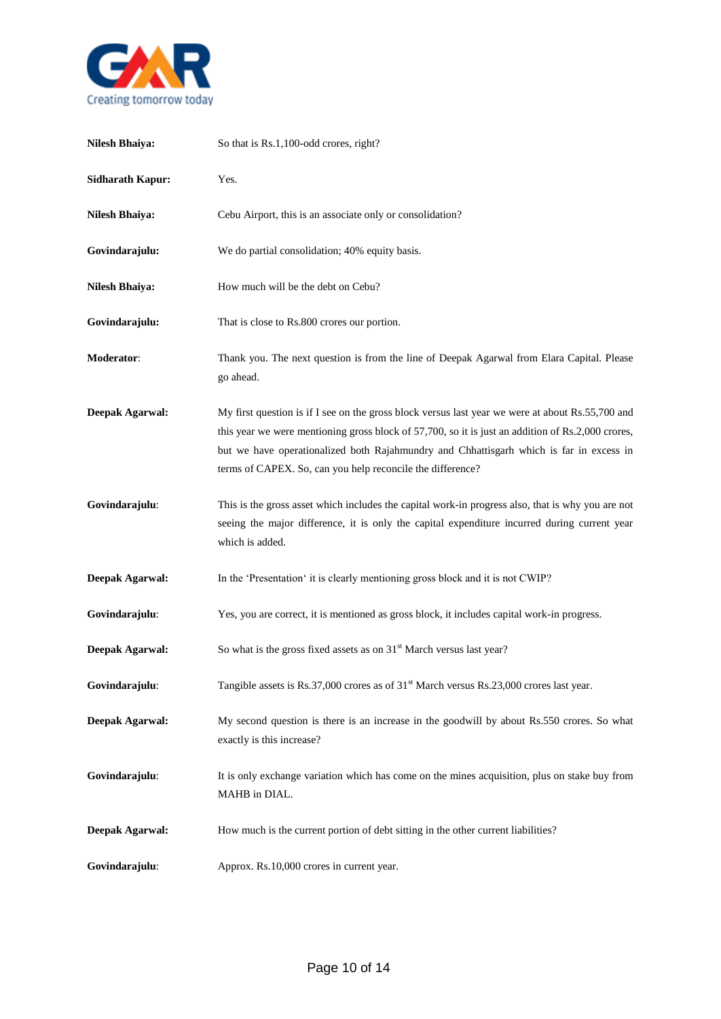

| <b>Nilesh Bhaiya:</b>   | So that is Rs.1,100-odd crores, right?                                                                                                                                                                                                                                                                                                                         |
|-------------------------|----------------------------------------------------------------------------------------------------------------------------------------------------------------------------------------------------------------------------------------------------------------------------------------------------------------------------------------------------------------|
| <b>Sidharath Kapur:</b> | Yes.                                                                                                                                                                                                                                                                                                                                                           |
| <b>Nilesh Bhaiya:</b>   | Cebu Airport, this is an associate only or consolidation?                                                                                                                                                                                                                                                                                                      |
| Govindarajulu:          | We do partial consolidation; 40% equity basis.                                                                                                                                                                                                                                                                                                                 |
| <b>Nilesh Bhaiya:</b>   | How much will be the debt on Cebu?                                                                                                                                                                                                                                                                                                                             |
| Govindarajulu:          | That is close to Rs.800 crores our portion.                                                                                                                                                                                                                                                                                                                    |
| Moderator:              | Thank you. The next question is from the line of Deepak Agarwal from Elara Capital. Please<br>go ahead.                                                                                                                                                                                                                                                        |
| <b>Deepak Agarwal:</b>  | My first question is if I see on the gross block versus last year we were at about Rs.55,700 and<br>this year we were mentioning gross block of 57,700, so it is just an addition of Rs.2,000 crores,<br>but we have operationalized both Rajahmundry and Chhattisgarh which is far in excess in<br>terms of CAPEX. So, can you help reconcile the difference? |
| Govindarajulu:          | This is the gross asset which includes the capital work-in progress also, that is why you are not<br>seeing the major difference, it is only the capital expenditure incurred during current year<br>which is added.                                                                                                                                           |
| <b>Deepak Agarwal:</b>  | In the 'Presentation' it is clearly mentioning gross block and it is not CWIP?                                                                                                                                                                                                                                                                                 |
| Govindarajulu:          | Yes, you are correct, it is mentioned as gross block, it includes capital work-in progress.                                                                                                                                                                                                                                                                    |
| Deepak Agarwal:         | So what is the gross fixed assets as on 31 <sup>st</sup> March versus last year?                                                                                                                                                                                                                                                                               |
| Govindarajulu:          | Tangible assets is Rs.37,000 crores as of 31 <sup>st</sup> March versus Rs.23,000 crores last year.                                                                                                                                                                                                                                                            |
| <b>Deepak Agarwal:</b>  | My second question is there is an increase in the goodwill by about Rs.550 crores. So what<br>exactly is this increase?                                                                                                                                                                                                                                        |
| Govindarajulu:          | It is only exchange variation which has come on the mines acquisition, plus on stake buy from<br>MAHB in DIAL.                                                                                                                                                                                                                                                 |
| <b>Deepak Agarwal:</b>  | How much is the current portion of debt sitting in the other current liabilities?                                                                                                                                                                                                                                                                              |
| Govindarajulu:          | Approx. Rs.10,000 crores in current year.                                                                                                                                                                                                                                                                                                                      |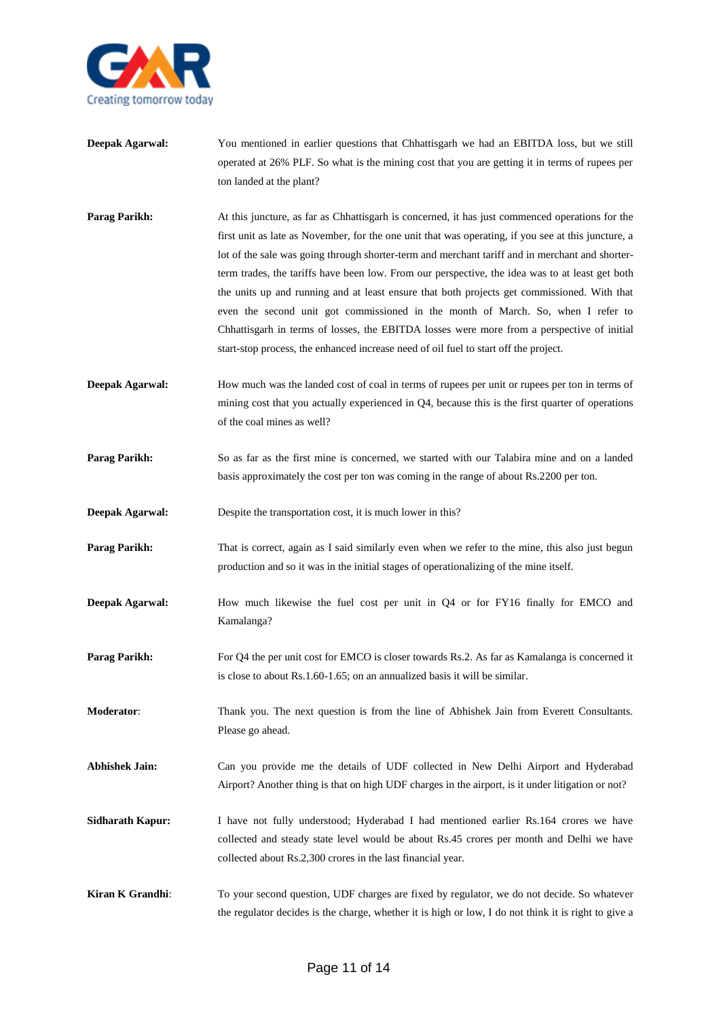

- **Deepak Agarwal:** You mentioned in earlier questions that Chhattisgarh we had an EBITDA loss, but we still operated at 26% PLF. So what is the mining cost that you are getting it in terms of rupees per ton landed at the plant?
- **Parag Parikh:** At this juncture, as far as Chhattisgarh is concerned, it has just commenced operations for the first unit as late as November, for the one unit that was operating, if you see at this juncture, a lot of the sale was going through shorter-term and merchant tariff and in merchant and shorterterm trades, the tariffs have been low. From our perspective, the idea was to at least get both the units up and running and at least ensure that both projects get commissioned. With that even the second unit got commissioned in the month of March. So, when I refer to Chhattisgarh in terms of losses, the EBITDA losses were more from a perspective of initial start-stop process, the enhanced increase need of oil fuel to start off the project.
- **Deepak Agarwal:** How much was the landed cost of coal in terms of rupees per unit or rupees per ton in terms of mining cost that you actually experienced in Q4, because this is the first quarter of operations of the coal mines as well?
- **Parag Parikh:** So as far as the first mine is concerned, we started with our Talabira mine and on a landed basis approximately the cost per ton was coming in the range of about Rs.2200 per ton.
- **Deepak Agarwal:** Despite the transportation cost, it is much lower in this?
- **Parag Parikh:** That is correct, again as I said similarly even when we refer to the mine, this also just begun production and so it was in the initial stages of operationalizing of the mine itself.
- **Deepak Agarwal:** How much likewise the fuel cost per unit in Q4 or for FY16 finally for EMCO and Kamalanga?
- **Parag Parikh:** For Q4 the per unit cost for EMCO is closer towards Rs.2. As far as Kamalanga is concerned it is close to about Rs.1.60-1.65; on an annualized basis it will be similar.
- **Moderator**: Thank you. The next question is from the line of Abhishek Jain from Everett Consultants. Please go ahead.
- **Abhishek Jain:** Can you provide me the details of UDF collected in New Delhi Airport and Hyderabad Airport? Another thing is that on high UDF charges in the airport, is it under litigation or not?
- **Sidharath Kapur:** I have not fully understood; Hyderabad I had mentioned earlier Rs.164 crores we have collected and steady state level would be about Rs.45 crores per month and Delhi we have collected about Rs.2,300 crores in the last financial year.
- **Kiran K Grandhi:** To your second question, UDF charges are fixed by regulator, we do not decide. So whatever the regulator decides is the charge, whether it is high or low, I do not think it is right to give a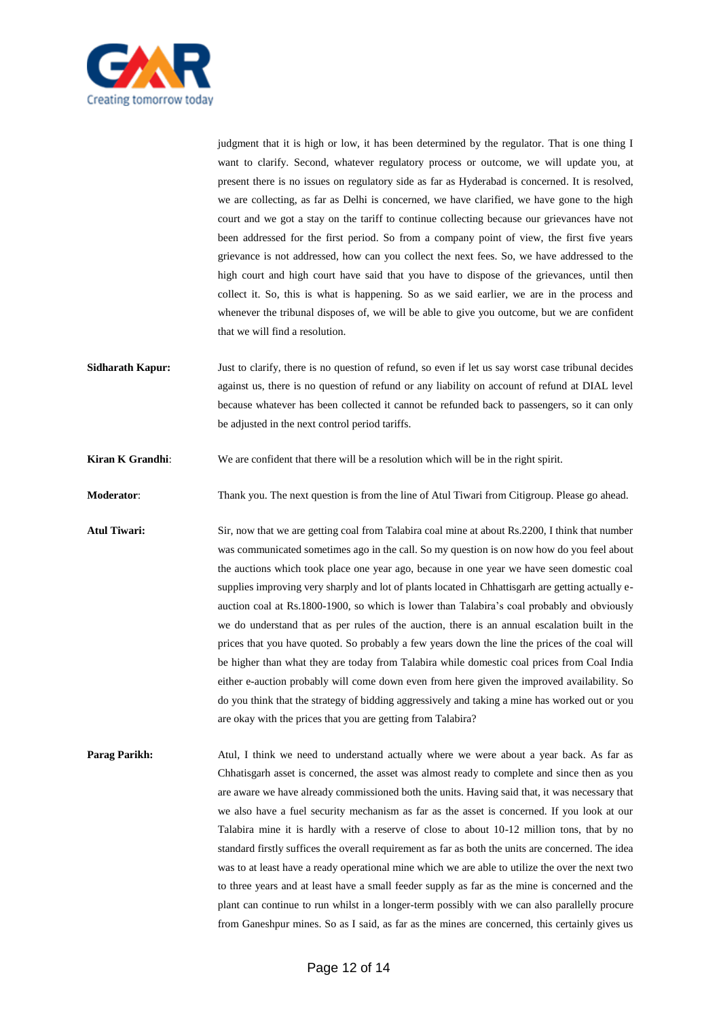

judgment that it is high or low, it has been determined by the regulator. That is one thing I want to clarify. Second, whatever regulatory process or outcome, we will update you, at present there is no issues on regulatory side as far as Hyderabad is concerned. It is resolved, we are collecting, as far as Delhi is concerned, we have clarified, we have gone to the high court and we got a stay on the tariff to continue collecting because our grievances have not been addressed for the first period. So from a company point of view, the first five years grievance is not addressed, how can you collect the next fees. So, we have addressed to the high court and high court have said that you have to dispose of the grievances, until then collect it. So, this is what is happening. So as we said earlier, we are in the process and whenever the tribunal disposes of, we will be able to give you outcome, but we are confident that we will find a resolution.

**Sidharath Kapur:** Just to clarify, there is no question of refund, so even if let us say worst case tribunal decides against us, there is no question of refund or any liability on account of refund at DIAL level because whatever has been collected it cannot be refunded back to passengers, so it can only be adjusted in the next control period tariffs.

**Kiran K Grandhi:** We are confident that there will be a resolution which will be in the right spirit.

**Moderator**: Thank you. The next question is from the line of Atul Tiwari from Citigroup. Please go ahead.

- **Atul Tiwari:** Sir, now that we are getting coal from Talabira coal mine at about Rs.2200, I think that number was communicated sometimes ago in the call. So my question is on now how do you feel about the auctions which took place one year ago, because in one year we have seen domestic coal supplies improving very sharply and lot of plants located in Chhattisgarh are getting actually eauction coal at Rs.1800-1900, so which is lower than Talabira's coal probably and obviously we do understand that as per rules of the auction, there is an annual escalation built in the prices that you have quoted. So probably a few years down the line the prices of the coal will be higher than what they are today from Talabira while domestic coal prices from Coal India either e-auction probably will come down even from here given the improved availability. So do you think that the strategy of bidding aggressively and taking a mine has worked out or you are okay with the prices that you are getting from Talabira?
- **Parag Parikh:** Atul, I think we need to understand actually where we were about a year back. As far as Chhatisgarh asset is concerned, the asset was almost ready to complete and since then as you are aware we have already commissioned both the units. Having said that, it was necessary that we also have a fuel security mechanism as far as the asset is concerned. If you look at our Talabira mine it is hardly with a reserve of close to about 10-12 million tons, that by no standard firstly suffices the overall requirement as far as both the units are concerned. The idea was to at least have a ready operational mine which we are able to utilize the over the next two to three years and at least have a small feeder supply as far as the mine is concerned and the plant can continue to run whilst in a longer-term possibly with we can also parallelly procure from Ganeshpur mines. So as I said, as far as the mines are concerned, this certainly gives us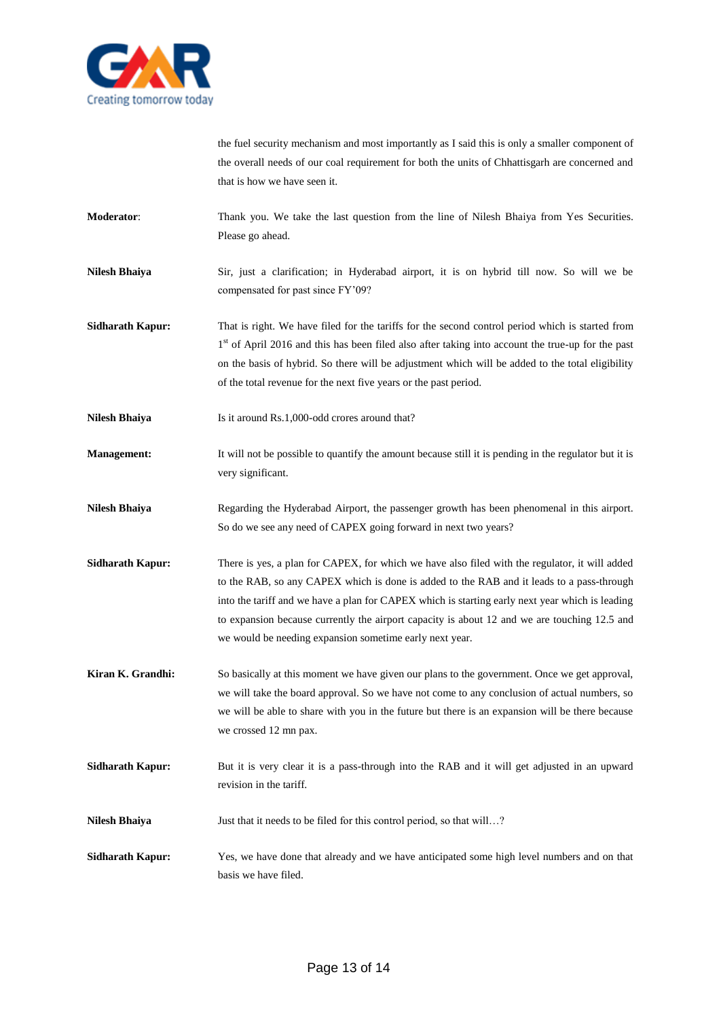

the fuel security mechanism and most importantly as I said this is only a smaller component of the overall needs of our coal requirement for both the units of Chhattisgarh are concerned and that is how we have seen it.

**Moderator**: Thank you. We take the last question from the line of Nilesh Bhaiya from Yes Securities. Please go ahead.

**Nilesh Bhaiya** Sir, just a clarification; in Hyderabad airport, it is on hybrid till now. So will we be compensated for past since FY'09?

**Sidharath Kapur:** That is right. We have filed for the tariffs for the second control period which is started from 1<sup>st</sup> of April 2016 and this has been filed also after taking into account the true-up for the past on the basis of hybrid. So there will be adjustment which will be added to the total eligibility of the total revenue for the next five years or the past period.

**Nilesh Bhaiya** Is it around Rs.1,000-odd crores around that?

**Management:** It will not be possible to quantify the amount because still it is pending in the regulator but it is very significant.

**Nilesh Bhaiya** Regarding the Hyderabad Airport, the passenger growth has been phenomenal in this airport. So do we see any need of CAPEX going forward in next two years?

**Sidharath Kapur:** There is yes, a plan for CAPEX, for which we have also filed with the regulator, it will added to the RAB, so any CAPEX which is done is added to the RAB and it leads to a pass-through into the tariff and we have a plan for CAPEX which is starting early next year which is leading to expansion because currently the airport capacity is about 12 and we are touching 12.5 and we would be needing expansion sometime early next year.

**Kiran K. Grandhi:** So basically at this moment we have given our plans to the government. Once we get approval, we will take the board approval. So we have not come to any conclusion of actual numbers, so we will be able to share with you in the future but there is an expansion will be there because we crossed 12 mn pax.

**Sidharath Kapur:** But it is very clear it is a pass-through into the RAB and it will get adjusted in an upward revision in the tariff.

**Nilesh Bhaiya** Just that it needs to be filed for this control period, so that will…?

**Sidharath Kapur:** Yes, we have done that already and we have anticipated some high level numbers and on that basis we have filed.